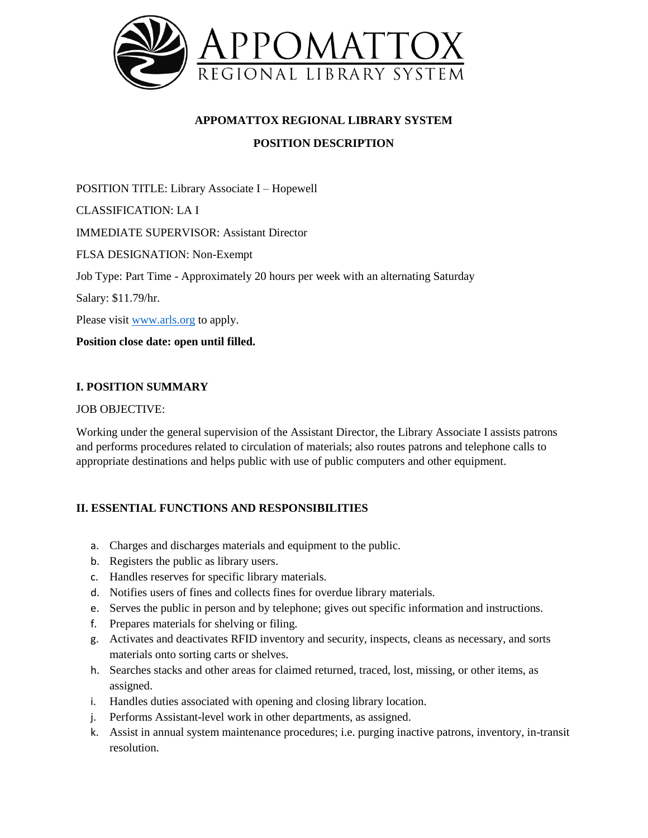

# **APPOMATTOX REGIONAL LIBRARY SYSTEM POSITION DESCRIPTION**

POSITION TITLE: Library Associate I – Hopewell CLASSIFICATION: LA I IMMEDIATE SUPERVISOR: Assistant Director FLSA DESIGNATION: Non-Exempt Job Type: Part Time - Approximately 20 hours per week with an alternating Saturday Salary: \$11.79/hr. Please visit [www.arls.org](http://www.arls.org/) to apply.

**Position close date: open until filled.** 

### **I. POSITION SUMMARY**

#### JOB OBJECTIVE:

Working under the general supervision of the Assistant Director, the Library Associate I assists patrons and performs procedures related to circulation of materials; also routes patrons and telephone calls to appropriate destinations and helps public with use of public computers and other equipment.

#### **II. ESSENTIAL FUNCTIONS AND RESPONSIBILITIES**

- a. Charges and discharges materials and equipment to the public.
- b. Registers the public as library users.
- c. Handles reserves for specific library materials.
- d. Notifies users of fines and collects fines for overdue library materials.
- e. Serves the public in person and by telephone; gives out specific information and instructions.
- f. Prepares materials for shelving or filing.
- g. Activates and deactivates RFID inventory and security, inspects, cleans as necessary, and sorts materials onto sorting carts or shelves.
- h. Searches stacks and other areas for claimed returned, traced, lost, missing, or other items, as assigned.
- i. Handles duties associated with opening and closing library location.
- j. Performs Assistant-level work in other departments, as assigned.
- k. Assist in annual system maintenance procedures; i.e. purging inactive patrons, inventory, in-transit resolution.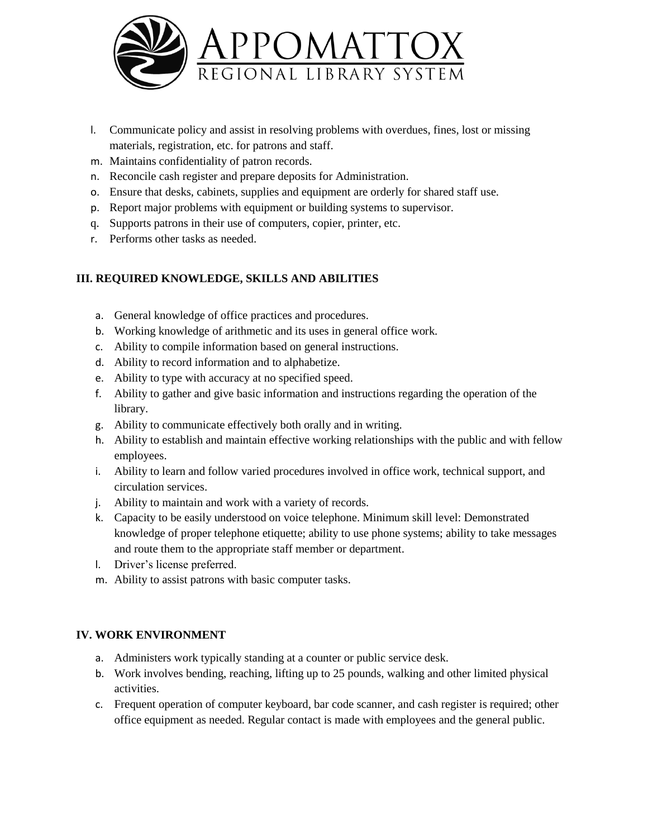

- l. Communicate policy and assist in resolving problems with overdues, fines, lost or missing materials, registration, etc. for patrons and staff.
- m. Maintains confidentiality of patron records.
- n. Reconcile cash register and prepare deposits for Administration.
- o. Ensure that desks, cabinets, supplies and equipment are orderly for shared staff use.
- p. Report major problems with equipment or building systems to supervisor.
- q. Supports patrons in their use of computers, copier, printer, etc.
- r. Performs other tasks as needed.

### **III. REQUIRED KNOWLEDGE, SKILLS AND ABILITIES**

- a. General knowledge of office practices and procedures.
- b. Working knowledge of arithmetic and its uses in general office work.
- c. Ability to compile information based on general instructions.
- d. Ability to record information and to alphabetize.
- e. Ability to type with accuracy at no specified speed.
- f. Ability to gather and give basic information and instructions regarding the operation of the library.
- g. Ability to communicate effectively both orally and in writing.
- h. Ability to establish and maintain effective working relationships with the public and with fellow employees.
- i. Ability to learn and follow varied procedures involved in office work, technical support, and circulation services.
- j. Ability to maintain and work with a variety of records.
- k. Capacity to be easily understood on voice telephone. Minimum skill level: Demonstrated knowledge of proper telephone etiquette; ability to use phone systems; ability to take messages and route them to the appropriate staff member or department.
- l. Driver's license preferred.
- m. Ability to assist patrons with basic computer tasks.

#### **IV. WORK ENVIRONMENT**

- a. Administers work typically standing at a counter or public service desk.
- b. Work involves bending, reaching, lifting up to 25 pounds, walking and other limited physical activities.
- c. Frequent operation of computer keyboard, bar code scanner, and cash register is required; other office equipment as needed. Regular contact is made with employees and the general public.